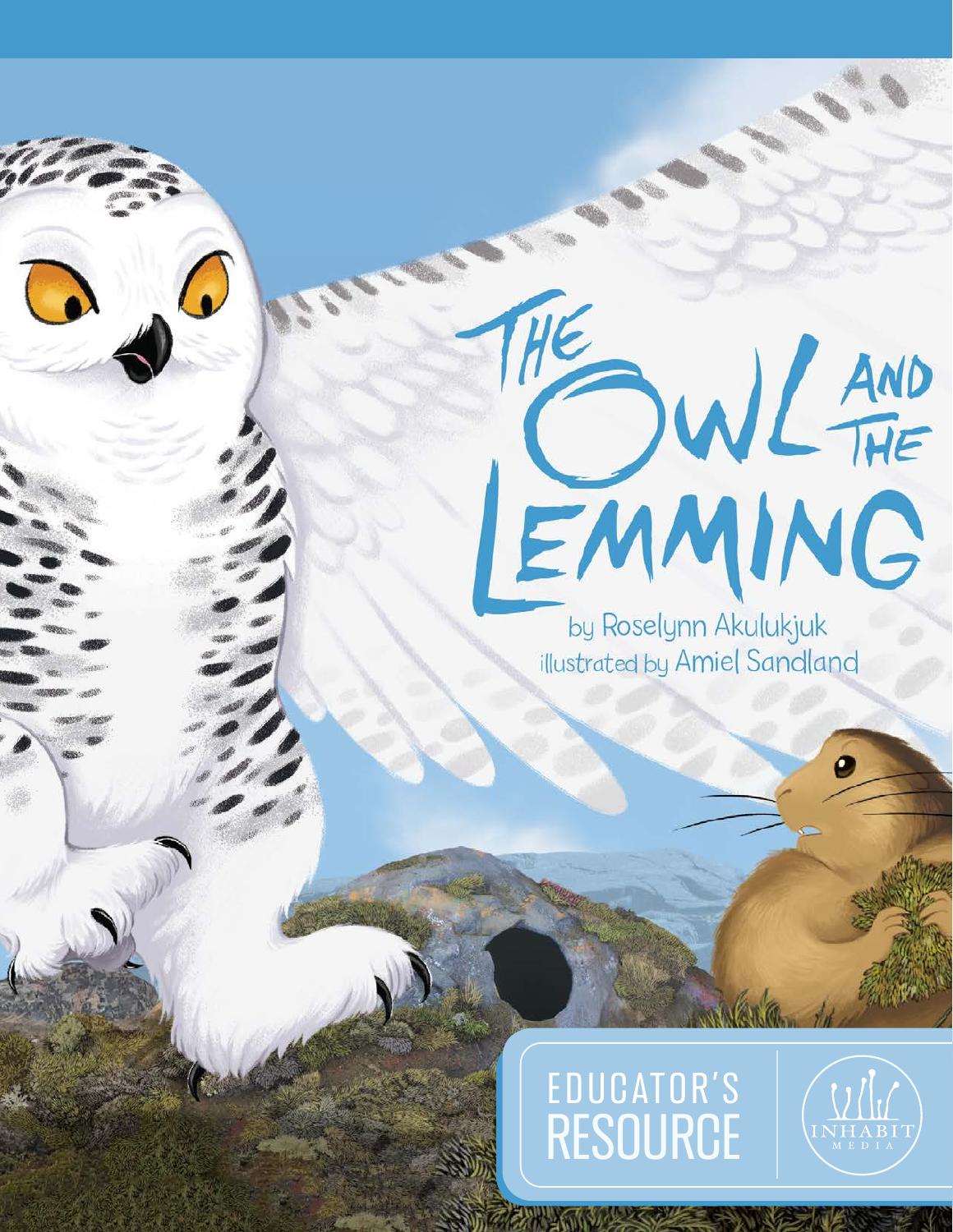# THE WIL AND

by Roselynn Akulukjuk illustrated by Amiel Sandland

# EDUCATOR'S EDUCATOR'S<br>RESOURCE

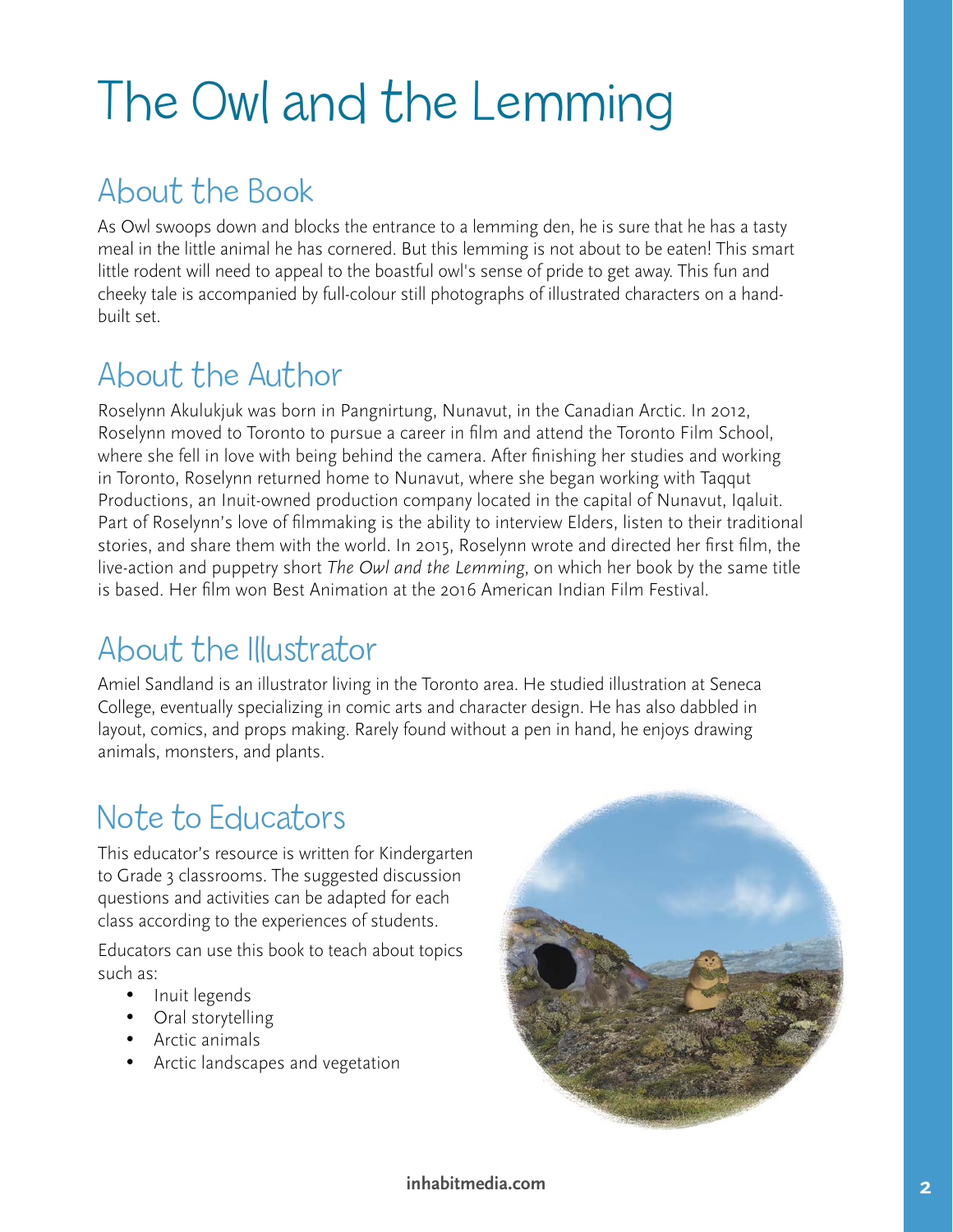# The Owl and the Lemming

# About the Book

As Owl swoops down and blocks the entrance to a lemming den, he is sure that he has a tasty meal in the little animal he has cornered. But this lemming is not about to be eaten! This smart little rodent will need to appeal to the boastful owl's sense of pride to get away. This fun and cheeky tale is accompanied by full-colour still photographs of illustrated characters on a handbuilt set.

# About the Author

Roselynn Akulukjuk was born in Pangnirtung, Nunavut, in the Canadian Arctic. In 2012, Roselynn moved to Toronto to pursue a career in film and attend the Toronto Film School, where she fell in love with being behind the camera. After finishing her studies and working in Toronto, Roselynn returned home to Nunavut, where she began working with Taqqut Productions, an Inuit-owned production company located in the capital of Nunavut, Iqaluit. Part of Roselynn's love of filmmaking is the ability to interview Elders, listen to their traditional stories, and share them with the world. In 2015, Roselynn wrote and directed her first film, the live-action and puppetry short *The Owl and the Lemming*, on which her book by the same title is based. Her film won Best Animation at the 2016 American Indian Film Festival.

## About the Illustrator

Amiel Sandland is an illustrator living in the Toronto area. He studied illustration at Seneca College, eventually specializing in comic arts and character design. He has also dabbled in layout, comics, and props making. Rarely found without a pen in hand, he enjoys drawing animals, monsters, and plants.

# Note to Educators

This educator's resource is written for Kindergarten to Grade 3 classrooms. The suggested discussion questions and activities can be adapted for each class according to the experiences of students.

Educators can use this book to teach about topics such as:

- Inuit legends
- Oral storytelling
- Arctic animals
- • Arctic landscapes and vegetation

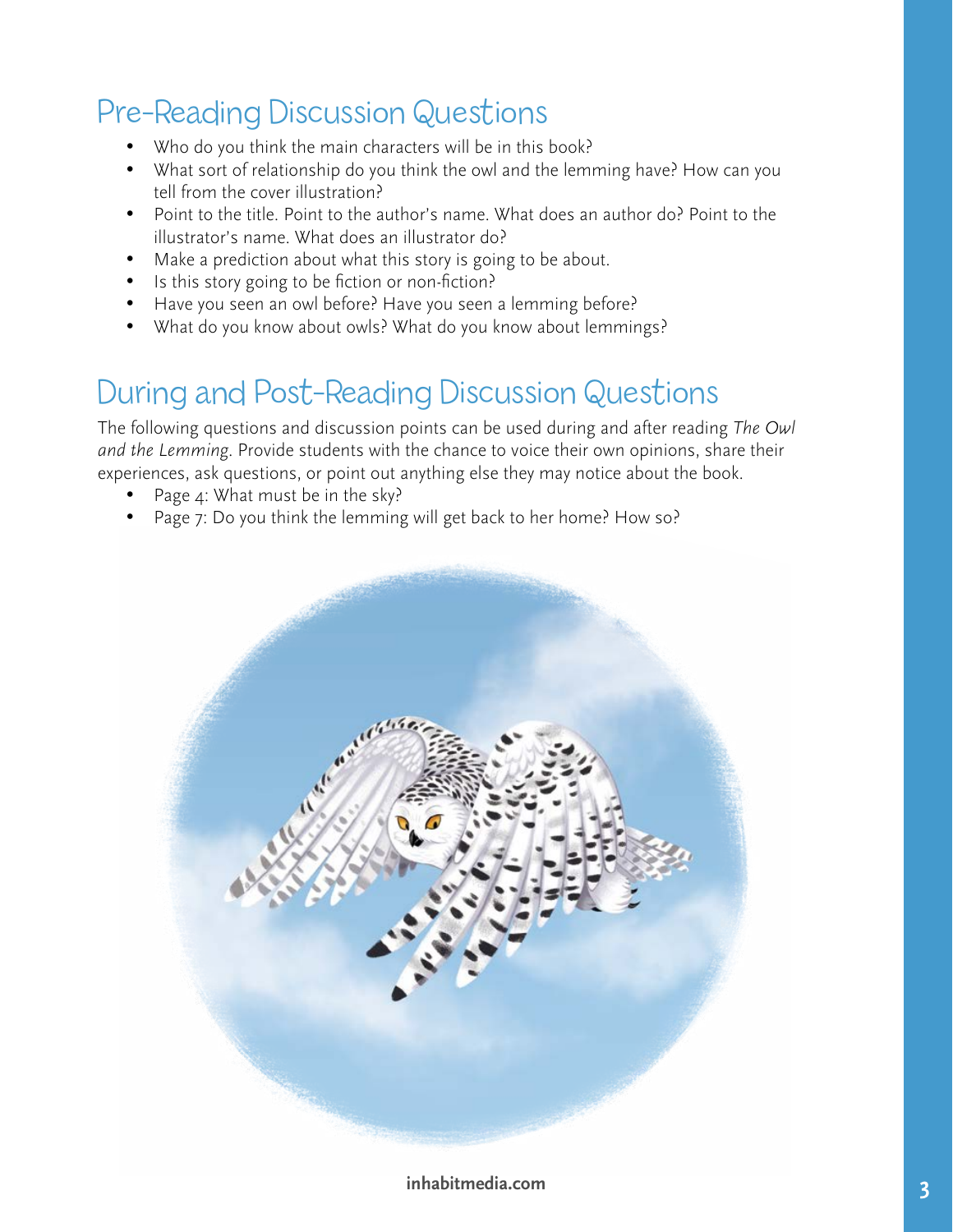### Pre-Reading Discussion Questions

- Who do you think the main characters will be in this book?
- What sort of relationship do you think the owl and the lemming have? How can you tell from the cover illustration?
- Point to the title. Point to the author's name. What does an author do? Point to the illustrator's name. What does an illustrator do?
- Make a prediction about what this story is going to be about.
- Is this story going to be fiction or non-fiction?
- Have you seen an owl before? Have you seen a lemming before?
- What do you know about owls? What do you know about lemmings?

#### During and Post-Reading Discussion Questions

The following questions and discussion points can be used during and after reading *The Owl and the Lemming*. Provide students with the chance to voice their own opinions, share their experiences, ask questions, or point out anything else they may notice about the book.

- Page  $4$ : What must be in the sky?
- Page 7: Do you think the lemming will get back to her home? How so?

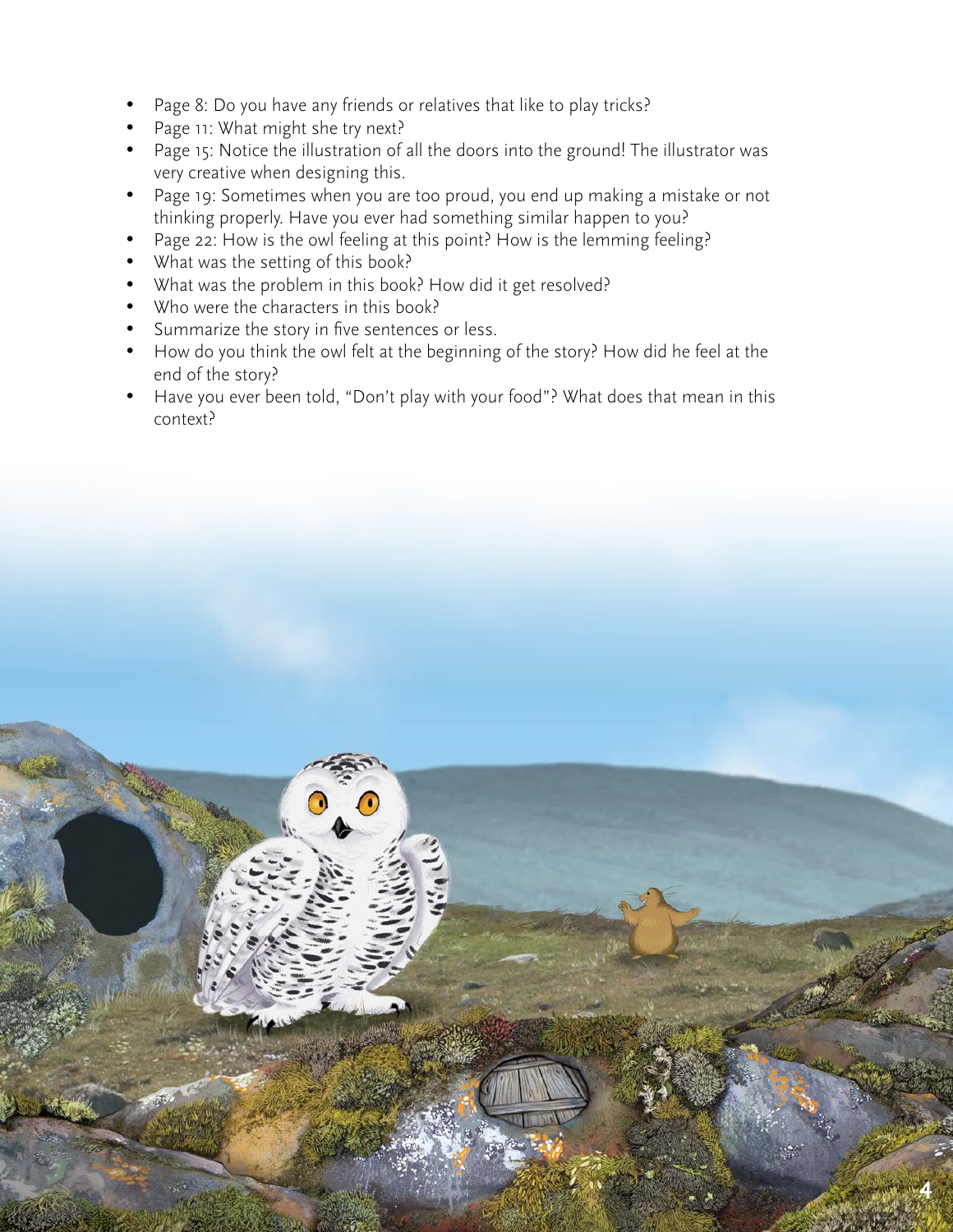- Page 8: Do you have any friends or relatives that like to play tricks?
- Page 11: What might she try next?
- Page 15: Notice the illustration of all the doors into the ground! The illustrator was very creative when designing this.
- Page 19: Sometimes when you are too proud, you end up making a mistake or not thinking properly. Have you ever had something similar happen to you?
- Page 22: How is the owl feeling at this point? How is the lemming feeling?
- What was the setting of this book?
- What was the problem in this book? How did it get resolved?
- Who were the characters in this book?
- Summarize the story in five sentences or less.
- How do you think the owl felt at the beginning of the story? How did he feel at the end of the story?
- Have you ever been told, "Don't play with your food"? What does that mean in this context?